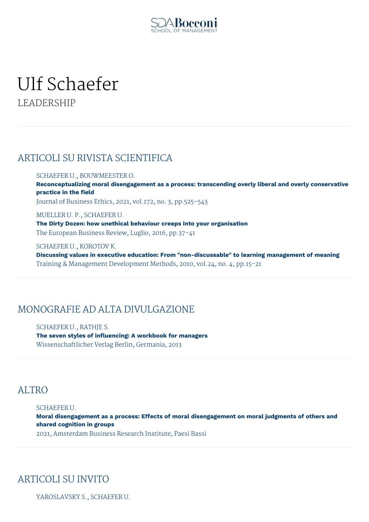

# Ulf Schaefer LEADERSHIP

## ARTICOLI SU RIVISTA SCIENTIFICA

#### SCHAEFER U., BOUWMEESTER O.

**Reconceptualizing moral disengagement as a process: transcending overly liberal and overly conservative practice in the field**

Journal of Business Ethics, 2021, vol.172, no. 3, pp.525–543

MUELLER U. P., SCHAEFER U. **The Dirty Dozen: how unethical behaviour creeps into your organisation** The European Business Review, Luglio, 2016, pp.37-41

SCHAEFER U., KOROTOV K.

**Discussing values in executive education: From "non-discussable" to learning management of meaning** Training & Management Development Methods, 2010, vol.24, no. 4, pp.15-21

#### MONOGRAFIE AD ALTA DIVULGAZIONE

SCHAEFER U., RATHJE S. **The seven styles of influencing: A workbook for managers** Wissenschaftlicher Verlag Berlin, Germania, 2013

#### **ALTRO**

#### SCHAEFER U.

**Moral disengagement as a process: Effects of moral disengagement on moral judgments of others and shared cognition in groups**

2021, Amsterdam Business Research Institute, Paesi Bassi

## ARTICOLI SU INVITO

YAROSLAVSKY S., SCHAEFER U.